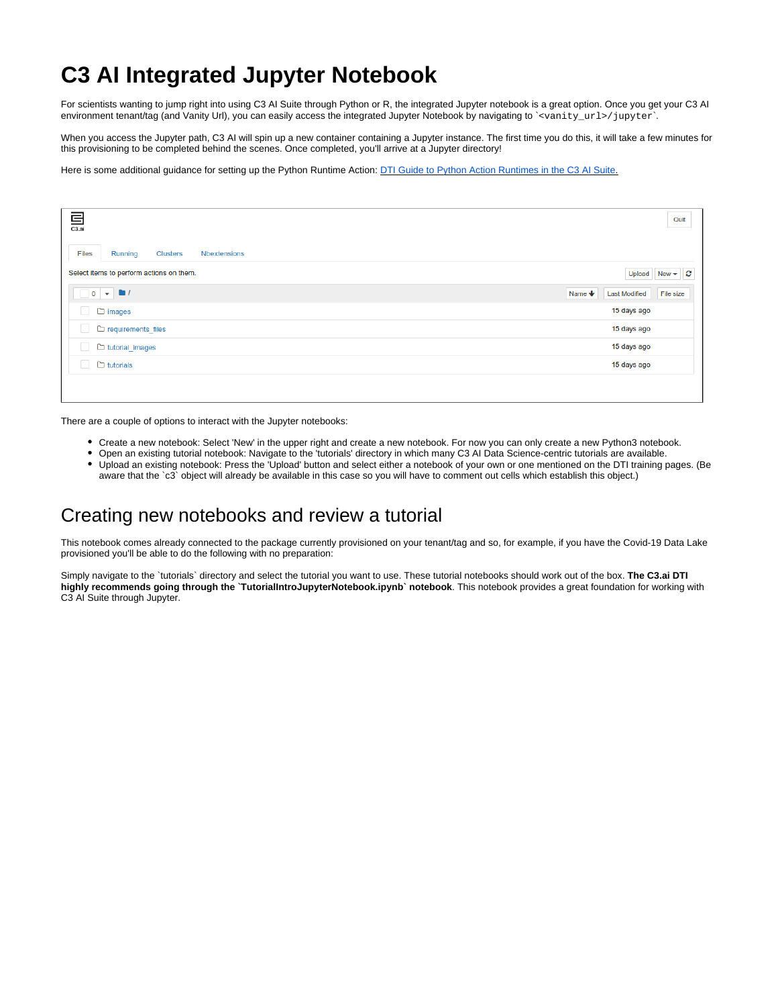## **C3 AI Integrated Jupyter Notebook**

For scientists wanting to jump right into using C3 AI Suite through Python or R, the integrated Jupyter notebook is a great option. Once you get your C3 AI environment tenant/tag (and Vanity Url), you can easily access the integrated Jupyter Notebook by navigating to `<vanity\_url>/jupyter`.

When you access the Jupyter path, C3 AI will spin up a new container containing a Jupyter instance. The first time you do this, it will take a few minutes for this provisioning to be completed behind the scenes. Once completed, you'll arrive at a Jupyter directory!

Here is some additional guidance for setting up the Python Runtime Action: [DTI Guide to Python Action Runtimes in the C3 AI Suite](https://wiki.ncsa.illinois.edu/display/C3aiDTI/DTI+Guide%3A+Python+on+C3+AI+Suite).

| $\overline{\mathbf{E}}$ <sub>C3.ai</sub>                        |                         |                                               | Quit      |
|-----------------------------------------------------------------|-------------------------|-----------------------------------------------|-----------|
| <b>Files</b><br>Nbextensions<br><b>Clusters</b><br>Running      |                         |                                               |           |
| Select items to perform actions on them.                        |                         | Upload New $\blacktriangleright$ $\heartsuit$ |           |
| $\begin{array}{ c c c }\n\hline\n0 & \star & \star \end{array}$ | Name $\bigtriangledown$ | <b>Last Modified</b>                          | File size |
| □ □ images                                                      |                         | 15 days ago                                   |           |
| requirements files                                              |                         | 15 days ago                                   |           |
| tutorial_images<br>u                                            |                         | 15 days ago                                   |           |
| $\Box$ tutorials                                                |                         | 15 days ago                                   |           |
|                                                                 |                         |                                               |           |

There are a couple of options to interact with the Jupyter notebooks:

- Create a new notebook: Select 'New' in the upper right and create a new notebook. For now you can only create a new Python3 notebook.
- Open an existing tutorial notebook: Navigate to the 'tutorials' directory in which many C3 AI Data Science-centric tutorials are available. Upload an existing notebook: Press the 'Upload' button and select either a notebook of your own or one mentioned on the DTI training pages. (Be
- aware that the `c3` object will already be available in this case so you will have to comment out cells which establish this object.)

## Creating new notebooks and review a tutorial

This notebook comes already connected to the package currently provisioned on your tenant/tag and so, for example, if you have the Covid-19 Data Lake provisioned you'll be able to do the following with no preparation:

Simply navigate to the `tutorials` directory and select the tutorial you want to use. These tutorial notebooks should work out of the box. **The C3.ai DTI highly recommends going through the `TutorialIntroJupyterNotebook.ipynb` notebook**. This notebook provides a great foundation for working with C3 AI Suite through Jupyter.